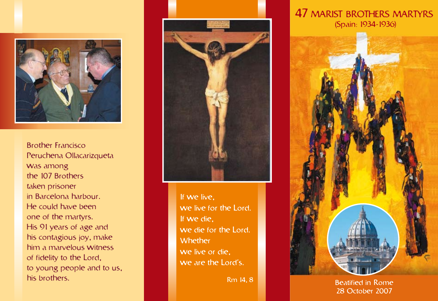

Brother Francisco Peruchena Ollacarizqueta was among the 107 Brothers taken prisoner in Barcelona harbour. He could have been one of the martyrs. His 91 years of age and his contagious joy, make him a marvelous witness of fidelity to the Lord, to young people and to us, his brothers.



If we live, we live for the Lord. If we die, we die for the Lord. Whether we live or die, we are the Lord's.

Rm 14, 8

## 47 MARIST BROTHERS MARTYRS (Spain: 1934-1936)



Beatified in Rome 28 October 2007